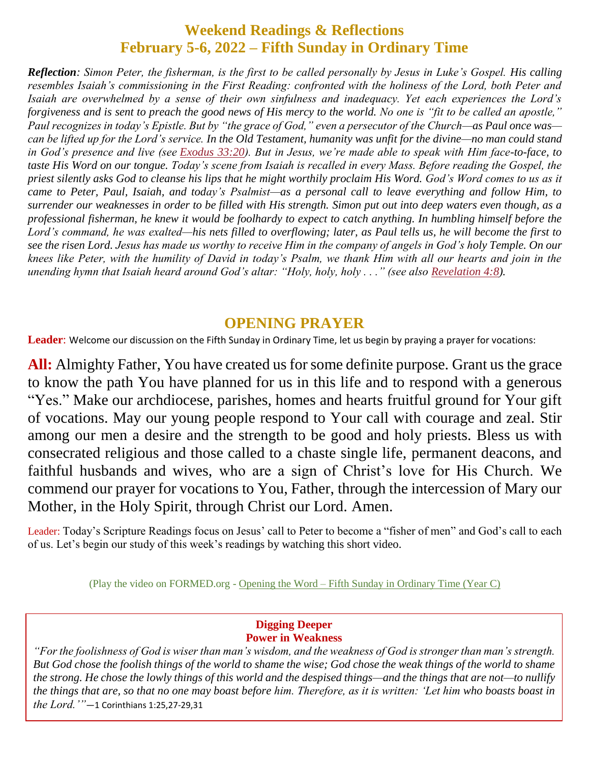# **Weekend Readings & Reflections February 5-6, 2022 – Fifth Sunday in Ordinary Time**

*Reflection: Simon Peter, the fisherman, is the first to be called personally by Jesus in Luke's Gospel. His calling resembles Isaiah's commissioning in the First Reading: confronted with the holiness of the Lord, both Peter and Isaiah are overwhelmed by a sense of their own sinfulness and inadequacy. Yet each experiences the Lord's forgiveness and is sent to preach the good news of His mercy to the world. No one is "fit to be called an apostle," Paul recognizes in today's Epistle. But by "the grace of God," even a persecutor of the Church—as Paul once was can be lifted up for the Lord's service. In the Old Testament, humanity was unfit for the divine—no man could stand in God's presence and live (see [Exodus](https://biblia.com/bible/rsvce/Exod%2033.20) 33:20). But in Jesus, we're made able to speak with Him face-to-face, to taste His Word on our tongue. Today's scene from Isaiah is recalled in every Mass. Before reading the Gospel, the priest silently asks God to cleanse his lips that he might worthily proclaim His Word. God's Word comes to us as it came to Peter, Paul, Isaiah, and today's Psalmist—as a personal call to leave everything and follow Him, to surrender our weaknesses in order to be filled with His strength. Simon put out into deep waters even though, as a professional fisherman, he knew it would be foolhardy to expect to catch anything. In humbling himself before the Lord's command, he was exalted—his nets filled to overflowing; later, as Paul tells us, he will become the first to see the risen Lord. Jesus has made us worthy to receive Him in the company of angels in God's holy Temple. On our knees like Peter, with the humility of David in today's Psalm, we thank Him with all our hearts and join in the unending hymn that Isaiah heard around God's altar: "Holy, holy, holy . . ." (see also [Revelation](https://biblia.com/bible/rsvce/Rev%204.8) 4:8).*

## **OPENING PRAYER**

**Leader**: Welcome our discussion on the Fifth Sunday in Ordinary Time, let us begin by praying a prayer for vocations:

**All:** Almighty Father, You have created us for some definite purpose. Grant us the grace to know the path You have planned for us in this life and to respond with a generous "Yes." Make our archdiocese, parishes, homes and hearts fruitful ground for Your gift of vocations. May our young people respond to Your call with courage and zeal. Stir among our men a desire and the strength to be good and holy priests. Bless us with consecrated religious and those called to a chaste single life, permanent deacons, and faithful husbands and wives, who are a sign of Christ's love for His Church. We commend our prayer for vocations to You, Father, through the intercession of Mary our Mother, in the Holy Spirit, through Christ our Lord. Amen.

Leader: Today's Scripture Readings focus on Jesus' call to Peter to become a "fisher of men" and God's call to each of us. Let's begin our study of this week's readings by watching this short video.

(Play the video on FORMED.org - Opening the Word – Fifth [Sunday in Ordinary Time](https://watch.formed.org/opening-the-word-1/season:2/videos/5th-sunday-in-ordinary-time-february-4-2018) (Year C)

#### **Digging Deeper Power in Weakness**

*"For the foolishness of God is wiser than man's wisdom, and the weakness of God is stronger than man's strength. But God chose the foolish things of the world to shame the wise; God chose the weak things of the world to shame the strong. He chose the lowly things of this world and the despised things—and the things that are not—to nullify the things that are, so that no one may boast before him. Therefore, as it is written: 'Let him who boasts boast in the Lord.'"*—1 Corinthians 1:25,27-29,31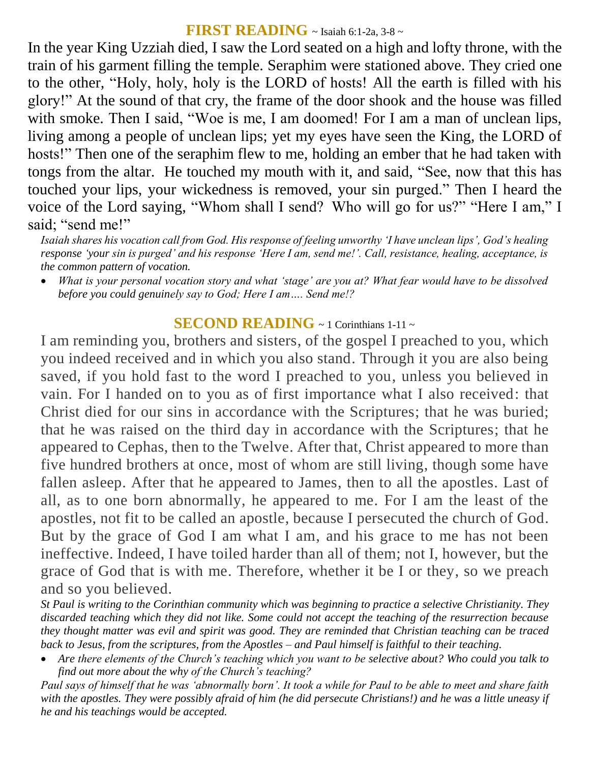### **FIRST READING** ~ Isaiah 6:1-2a, 3-8 ~

In the year King Uzziah died, I saw the Lord seated on a high and lofty throne, with the train of his garment filling the temple. Seraphim were stationed above. They cried one to the other, "Holy, holy, holy is the LORD of hosts! All the earth is filled with his glory!" At the sound of that cry, the frame of the door shook and the house was filled with smoke. Then I said, "Woe is me, I am doomed! For I am a man of unclean lips, living among a people of unclean lips; yet my eyes have seen the King, the LORD of hosts!" Then one of the seraphim flew to me, holding an ember that he had taken with tongs from the altar. He touched my mouth with it, and said, "See, now that this has touched your lips, your wickedness is removed, your sin purged." Then I heard the voice of the Lord saying, "Whom shall I send? Who will go for us?" "Here I am," I said; "send me!"

*Isaiah shares his vocation call from God. His response of feeling unworthy 'I have unclean lips', God's healing response 'your sin is purged' and his response 'Here I am, send me!'. Call, resistance, healing, acceptance, is the common pattern of vocation.* 

 *What is your personal vocation story and what 'stage' are you at? What fear would have to be dissolved before you could genuinely say to God; Here I am…. Send me!?*

## **SECOND READING** ~ 1 Corinthians 1-11 ~

I am reminding you, brothers and sisters, of the gospel I preached to you, which you indeed received and in which you also stand. Through it you are also being saved, if you hold fast to the word I preached to you, unless you believed in vain. For I handed on to you as of first importance what I also received: that Christ died for our sins in accordance with the Scriptures; that he was buried; that he was raised on the third day in accordance with the Scriptures; that he appeared to Cephas, then to the Twelve. After that, Christ appeared to more than five hundred brothers at once, most of whom are still living, though some have fallen asleep. After that he appeared to James, then to all the apostles. Last of all, as to one born abnormally, he appeared to me. For I am the least of the apostles, not fit to be called an apostle, because I persecuted the church of God. But by the grace of God I am what I am, and his grace to me has not been ineffective. Indeed, I have toiled harder than all of them; not I, however, but the grace of God that is with me. Therefore, whether it be I or they, so we preach and so you believed.

*St Paul is writing to the Corinthian community which was beginning to practice a selective Christianity. They discarded teaching which they did not like. Some could not accept the teaching of the resurrection because they thought matter was evil and spirit was good. They are reminded that Christian teaching can be traced back to Jesus, from the scriptures, from the Apostles – and Paul himself is faithful to their teaching.* 

 *Are there elements of the Church's teaching which you want to be selective about? Who could you talk to find out more about the why of the Church's teaching?*

*Paul says of himself that he was 'abnormally born'. It took a while for Paul to be able to meet and share faith with the apostles. They were possibly afraid of him (he did persecute Christians!) and he was a little uneasy if he and his teachings would be accepted.*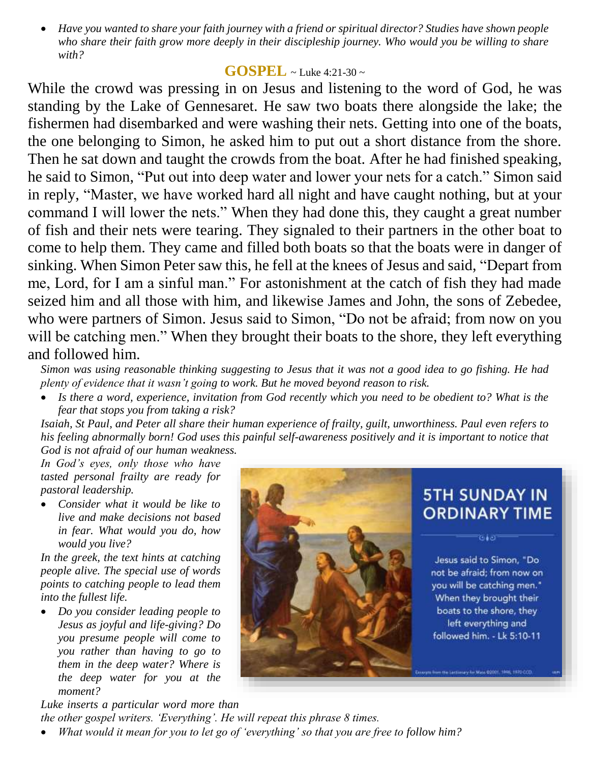*Have you wanted to share your faith journey with a friend or spiritual director? Studies have shown people who share their faith grow more deeply in their discipleship journey. Who would you be willing to share with?*

#### $$

While the crowd was pressing in on Jesus and listening to the word of God, he was standing by the Lake of Gennesaret. He saw two boats there alongside the lake; the fishermen had disembarked and were washing their nets. Getting into one of the boats, the one belonging to Simon, he asked him to put out a short distance from the shore. Then he sat down and taught the crowds from the boat. After he had finished speaking, he said to Simon, "Put out into deep water and lower your nets for a catch." Simon said in reply, "Master, we have worked hard all night and have caught nothing, but at your command I will lower the nets." When they had done this, they caught a great number of fish and their nets were tearing. They signaled to their partners in the other boat to come to help them. They came and filled both boats so that the boats were in danger of sinking. When Simon Peter saw this, he fell at the knees of Jesus and said, "Depart from me, Lord, for I am a sinful man." For astonishment at the catch of fish they had made seized him and all those with him, and likewise James and John, the sons of Zebedee, who were partners of Simon. Jesus said to Simon, "Do not be afraid; from now on you will be catching men." When they brought their boats to the shore, they left everything and followed him.

*Simon was using reasonable thinking suggesting to Jesus that it was not a good idea to go fishing. He had plenty of evidence that it wasn't going to work. But he moved beyond reason to risk.* 

 *Is there a word, experience, invitation from God recently which you need to be obedient to? What is the fear that stops you from taking a risk?*

*Isaiah, St Paul, and Peter all share their human experience of frailty, guilt, unworthiness. Paul even refers to his feeling abnormally born! God uses this painful self-awareness positively and it is important to notice that God is not afraid of our human weakness.* 

*In God's eyes, only those who have tasted personal frailty are ready for pastoral leadership.*

 *Consider what it would be like to live and make decisions not based in fear. What would you do, how would you live?*

*In the greek, the text hints at catching people alive. The special use of words points to catching people to lead them into the fullest life.* 

 *Do you consider leading people to Jesus as joyful and life-giving? Do you presume people will come to you rather than having to go to them in the deep water? Where is the deep water for you at the moment?*



**5TH SUNDAY IN ORDINARY TIME** 

Jesus said to Simon, "Do not be afraid; from now on you will be catching men." When they brought their boats to the shore, they left everything and followed him. - Lk 5:10-11

*Luke inserts a particular word more than the other gospel writers. 'Everything'. He will repeat this phrase 8 times. What would it mean for you to let go of 'everything' so that you are free to follow him?*